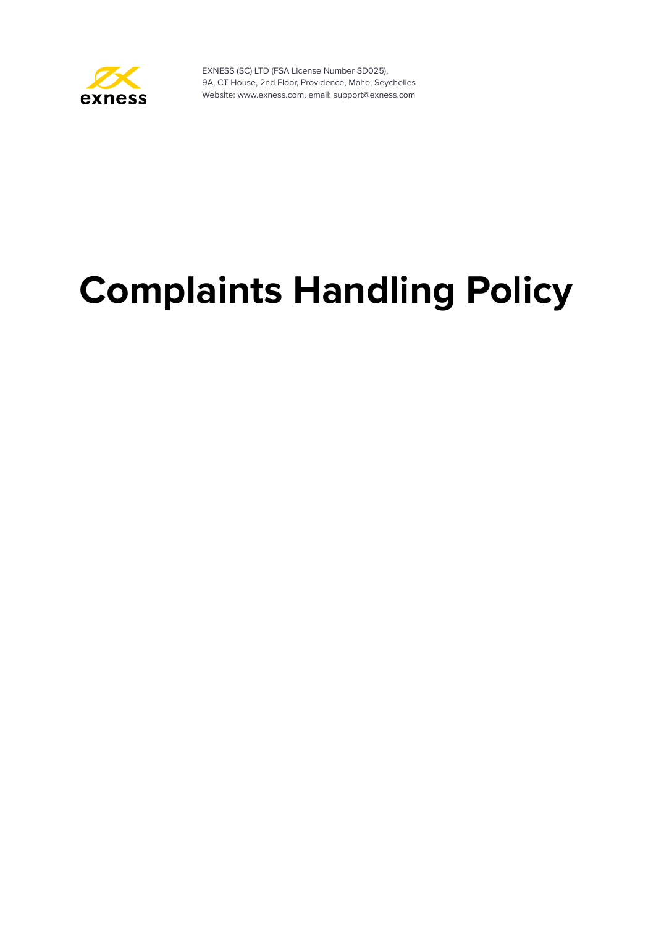

# **Complaints Handling Policy**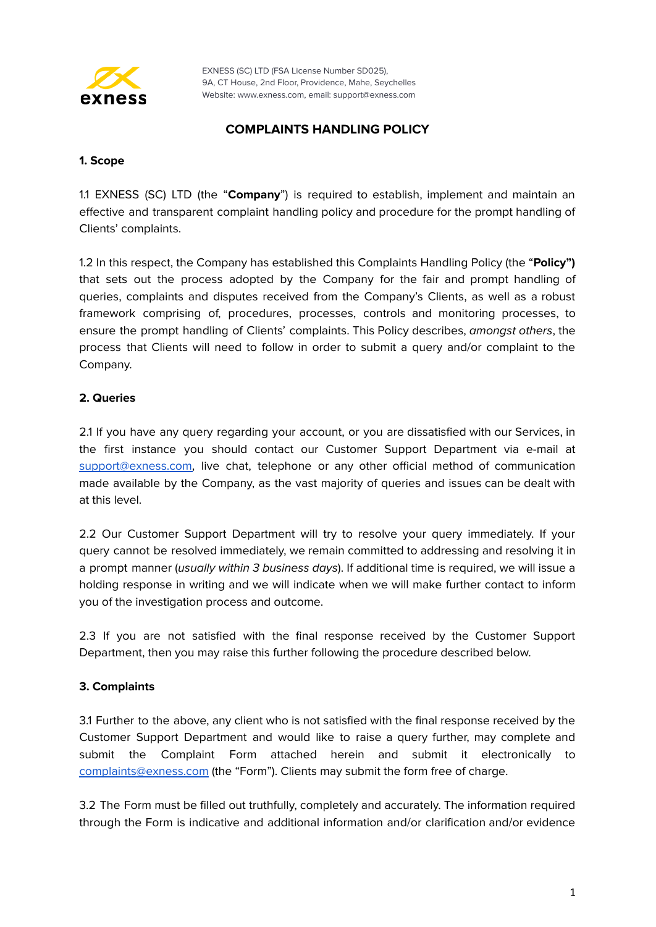

## **COMPLAINTS HANDLING POLICY**

### **1. Scope**

1.1 EXNESS (SC) LTD (the "**Company**") is required to establish, implement and maintain an effective and transparent complaint handling policy and procedure for the prompt handling of Clients' complaints.

1.2 In this respect, the Company has established this Complaints Handling Policy (the "**Policy")** that sets out the process adopted by the Company for the fair and prompt handling of queries, complaints and disputes received from the Company's Clients, as well as a robust framework comprising of, procedures, processes, controls and monitoring processes, to ensure the prompt handling of Clients' complaints. This Policy describes, amongst others, the process that Clients will need to follow in order to submit a query and/or complaint to the Company.

## **2. Queries**

2.1 If you have any query regarding your account, or you are dissatisfied with our Services, in the first instance you should contact our Customer Support Department via e-mail at [support@exness.com,](mailto:support@exness.com) live chat, telephone or any other official method of communication made available by the Company, as the vast majority of queries and issues can be dealt with at this level.

2.2 Our Customer Support Department will try to resolve your query immediately. If your query cannot be resolved immediately, we remain committed to addressing and resolving it in a prompt manner (usually within 3 business days). If additional time is required, we will issue a holding response in writing and we will indicate when we will make further contact to inform you of the investigation process and outcome.

2.3 If you are not satisfied with the final response received by the Customer Support Department, then you may raise this further following the procedure described below.

## **3. Complaints**

3.1 Further to the above, any client who is not satisfied with the final response received by the Customer Support Department and would like to raise a query further, may complete and submit the Complaint Form attached herein and submit it electronically to [complaints@exness.com](mailto:complaints@exness.com) (the "Form"). Clients may submit the form free of charge.

3.2 The Form must be filled out truthfully, completely and accurately. The information required through the Form is indicative and additional information and/or clarification and/or evidence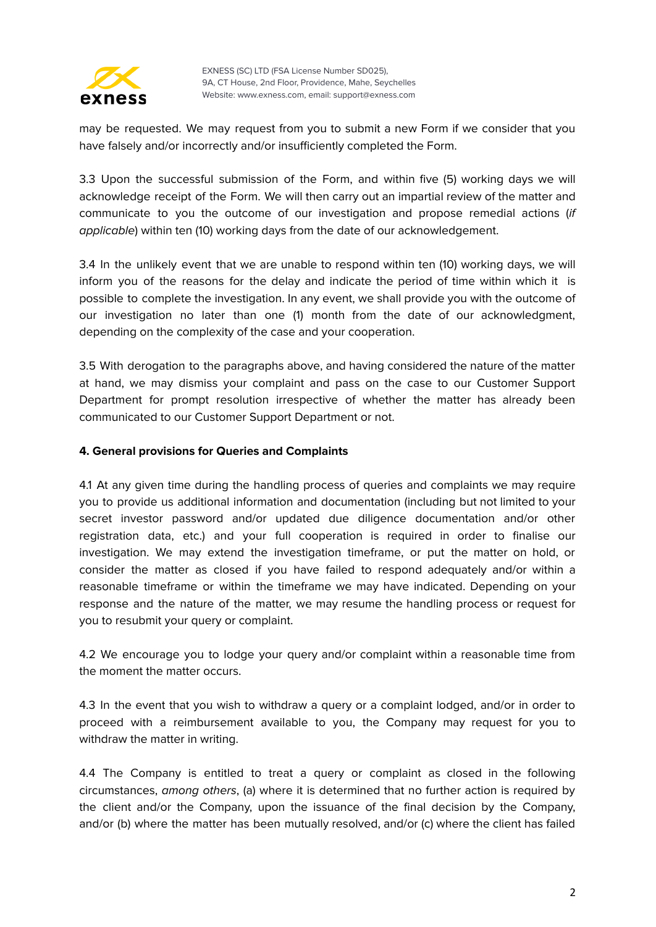

may be requested. We may request from you to submit a new Form if we consider that you have falsely and/or incorrectly and/or insufficiently completed the Form.

3.3 Upon the successful submission of the Form, and within five (5) working days we will acknowledge receipt of the Form. We will then carry out an impartial review of the matter and communicate to you the outcome of our investigation and propose remedial actions (if applicable) within ten (10) working days from the date of our acknowledgement.

3.4 In the unlikely event that we are unable to respond within ten (10) working days, we will inform you of the reasons for the delay and indicate the period of time within which it is possible to complete the investigation. In any event, we shall provide you with the outcome of our investigation no later than one (1) month from the date of our acknowledgment, depending on the complexity of the case and your cooperation.

3.5 With derogation to the paragraphs above, and having considered the nature of the matter at hand, we may dismiss your complaint and pass on the case to our Customer Support Department for prompt resolution irrespective of whether the matter has already been communicated to our Customer Support Department or not.

## **4. General provisions for Queries and Complaints**

4.1 At any given time during the handling process of queries and complaints we may require you to provide us additional information and documentation (including but not limited to your secret investor password and/or updated due diligence documentation and/or other registration data, etc.) and your full cooperation is required in order to finalise our investigation. We may extend the investigation timeframe, or put the matter on hold, or consider the matter as closed if you have failed to respond adequately and/or within a reasonable timeframe or within the timeframe we may have indicated. Depending on your response and the nature of the matter, we may resume the handling process or request for you to resubmit your query or complaint.

4.2 We encourage you to lodge your query and/or complaint within a reasonable time from the moment the matter occurs.

4.3 In the event that you wish to withdraw a query or a complaint lodged, and/or in order to proceed with a reimbursement available to you, the Company may request for you to withdraw the matter in writing.

4.4 The Company is entitled to treat a query or complaint as closed in the following circumstances, among others, (a) where it is determined that no further action is required by the client and/or the Company, upon the issuance of the final decision by the Company, and/or (b) where the matter has been mutually resolved, and/or (c) where the client has failed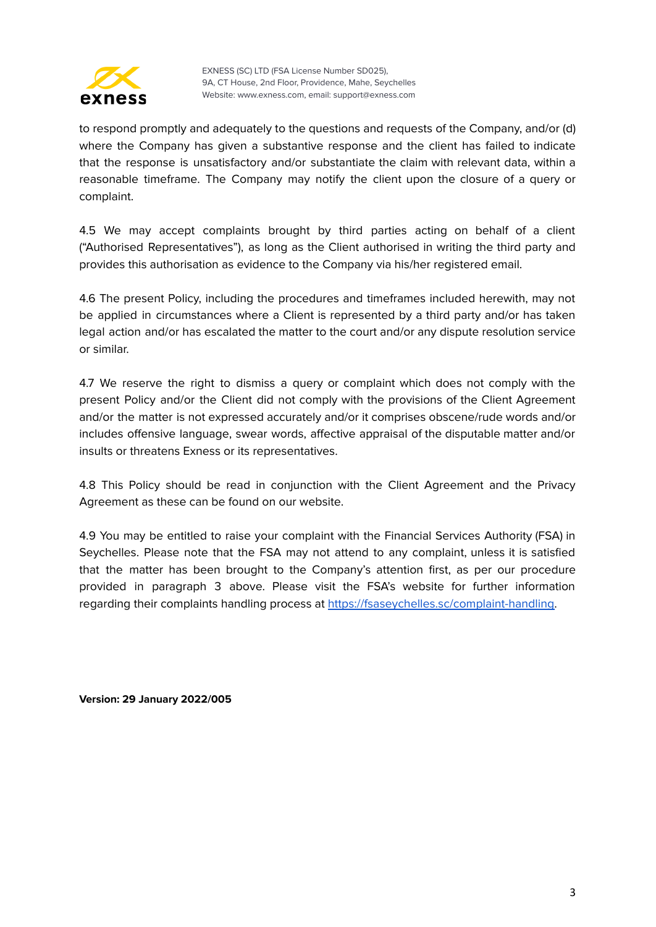

to respond promptly and adequately to the questions and requests of the Company, and/or (d) where the Company has given a substantive response and the client has failed to indicate that the response is unsatisfactory and/or substantiate the claim with relevant data, within a reasonable timeframe. The Company may notify the client upon the closure of a query or complaint.

4.5 We may accept complaints brought by third parties acting on behalf of a client ("Authorised Representatives"), as long as the Client authorised in writing the third party and provides this authorisation as evidence to the Company via his/her registered email.

4.6 The present Policy, including the procedures and timeframes included herewith, may not be applied in circumstances where a Client is represented by a third party and/or has taken legal action and/or has escalated the matter to the court and/or any dispute resolution service or similar.

4.7 We reserve the right to dismiss a query or complaint which does not comply with the present Policy and/or the Client did not comply with the provisions of the Client Agreement and/or the matter is not expressed accurately and/or it comprises obscene/rude words and/or includes offensive language, swear words, affective appraisal of the disputable matter and/or insults or threatens Exness or its representatives.

4.8 This Policy should be read in conjunction with the Client Agreement and the Privacy Agreement as these can be found on our website.

4.9 You may be entitled to raise your complaint with the Financial Services Authority (FSA) in Seychelles. Please note that the FSA may not attend to any complaint, unless it is satisfied that the matter has been brought to the Company's attention first, as per our procedure provided in paragraph 3 above. Please visit the FSA's website for further information regarding their complaints handling process at [https://fsaseychelles.sc/complaint-handling.](https://fsaseychelles.sc/complaint-handling)

**Version: 29 January 2022/005**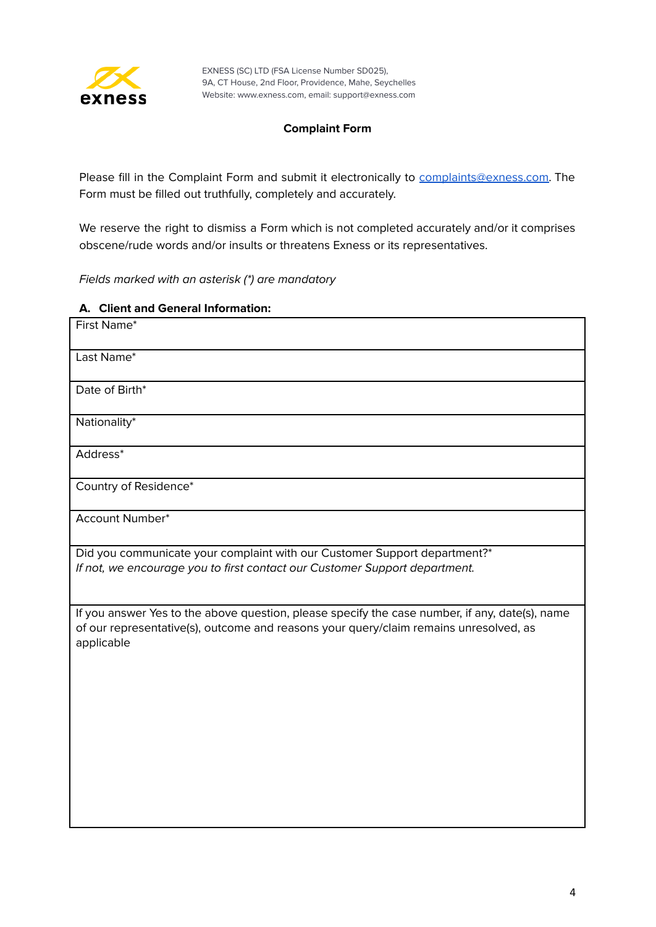

## **Complaint Form**

Please fill in the Complaint Form and submit it electronically to [complaints@exness.com.](mailto:complaints@exness.com) The Form must be filled out truthfully, completely and accurately.

We reserve the right to dismiss a Form which is not completed accurately and/or it comprises obscene/rude words and/or insults or threatens Exness or its representatives.

Fields marked with an asterisk (\*) are mandatory

### **A. Client and General Information:**

| First Name*                                                                                                                                                                                           |
|-------------------------------------------------------------------------------------------------------------------------------------------------------------------------------------------------------|
| Last Name*                                                                                                                                                                                            |
| Date of Birth*                                                                                                                                                                                        |
| Nationality*                                                                                                                                                                                          |
| Address*                                                                                                                                                                                              |
| Country of Residence*                                                                                                                                                                                 |
| <b>Account Number*</b>                                                                                                                                                                                |
| Did you communicate your complaint with our Customer Support department?*<br>If not, we encourage you to first contact our Customer Support department.                                               |
| If you answer Yes to the above question, please specify the case number, if any, date(s), name<br>of our representative(s), outcome and reasons your query/claim remains unresolved, as<br>applicable |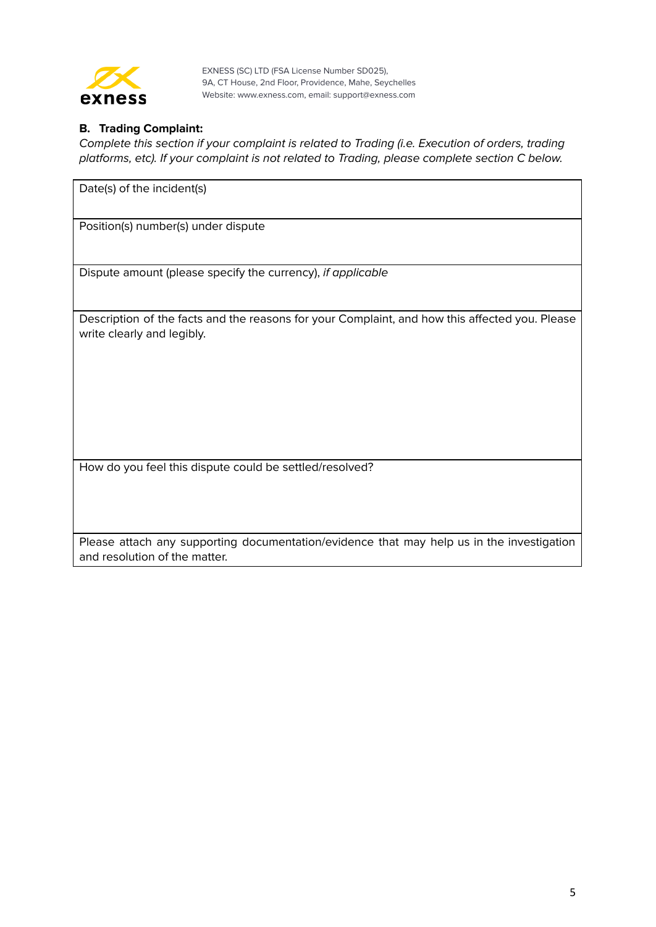

## **B. Trading Complaint:**

Date(s) of the incident(s)

Complete this section if your complaint is related to Trading (i.e. Execution of orders, trading platforms, etc). If your complaint is not related to Trading, please complete section C below.

Position(s) number(s) under dispute

Dispute amount (please specify the currency), if applicable

Description of the facts and the reasons for your Complaint, and how this affected you. Please write clearly and legibly.

How do you feel this dispute could be settled/resolved?

Please attach any supporting documentation/evidence that may help us in the investigation and resolution of the matter.